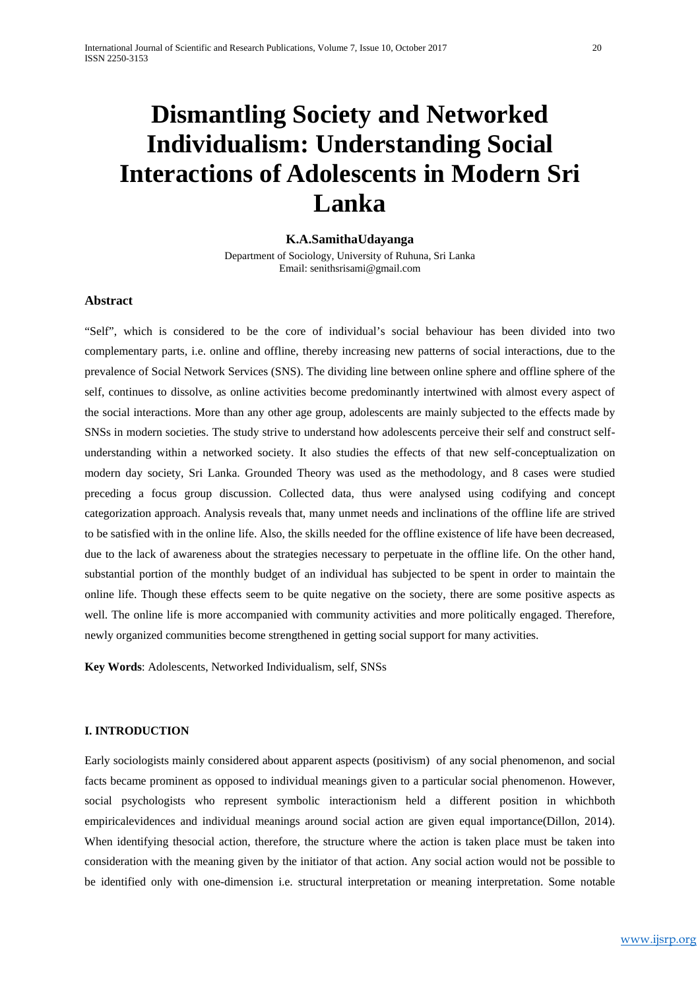# **Dismantling Society and Networked Individualism: Understanding Social Interactions of Adolescents in Modern Sri Lanka**

## **K.A.SamithaUdayanga**

Department of Sociology, University of Ruhuna, Sri Lanka Email: senithsrisami@gmail.com

## **Abstract**

"Self", which is considered to be the core of individual's social behaviour has been divided into two complementary parts, i.e. online and offline, thereby increasing new patterns of social interactions, due to the prevalence of Social Network Services (SNS). The dividing line between online sphere and offline sphere of the self, continues to dissolve, as online activities become predominantly intertwined with almost every aspect of the social interactions. More than any other age group, adolescents are mainly subjected to the effects made by SNSs in modern societies. The study strive to understand how adolescents perceive their self and construct selfunderstanding within a networked society. It also studies the effects of that new self-conceptualization on modern day society, Sri Lanka. Grounded Theory was used as the methodology, and 8 cases were studied preceding a focus group discussion. Collected data, thus were analysed using codifying and concept categorization approach. Analysis reveals that, many unmet needs and inclinations of the offline life are strived to be satisfied with in the online life. Also, the skills needed for the offline existence of life have been decreased, due to the lack of awareness about the strategies necessary to perpetuate in the offline life. On the other hand, substantial portion of the monthly budget of an individual has subjected to be spent in order to maintain the online life. Though these effects seem to be quite negative on the society, there are some positive aspects as well. The online life is more accompanied with community activities and more politically engaged. Therefore, newly organized communities become strengthened in getting social support for many activities.

**Key Words**: Adolescents, Networked Individualism, self, SNSs

## **I. INTRODUCTION**

Early sociologists mainly considered about apparent aspects (positivism) of any social phenomenon, and social facts became prominent as opposed to individual meanings given to a particular social phenomenon. However, social psychologists who represent symbolic interactionism held a different position in whichboth empiricalevidences and individual meanings around social action are given equal importance(Dillon, 2014). When identifying thesocial action, therefore, the structure where the action is taken place must be taken into consideration with the meaning given by the initiator of that action. Any social action would not be possible to be identified only with one-dimension i.e. structural interpretation or meaning interpretation. Some notable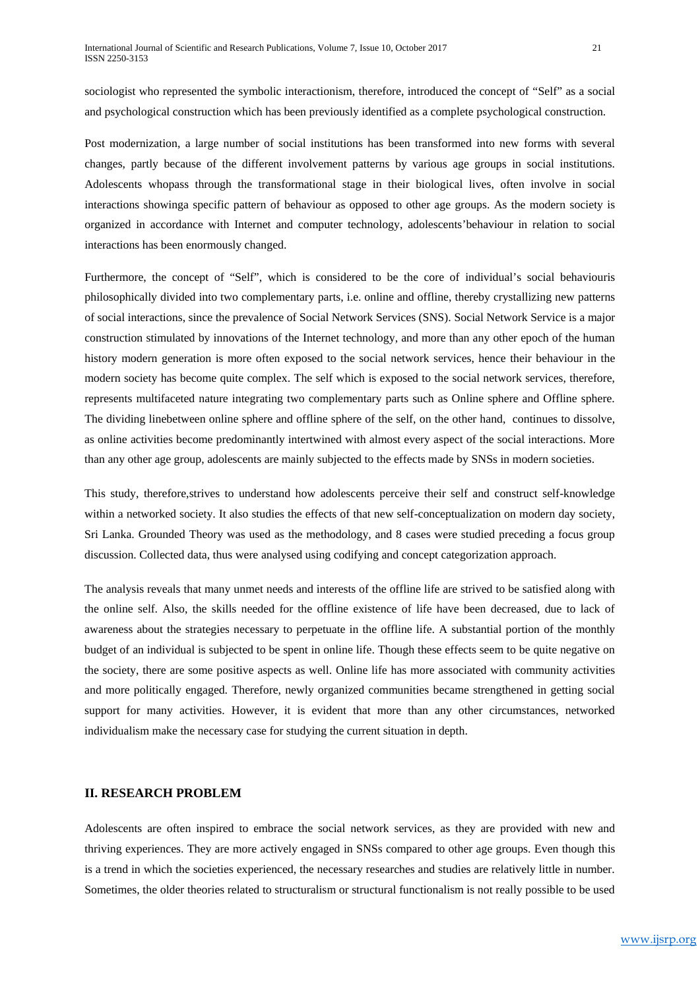sociologist who represented the symbolic interactionism, therefore, introduced the concept of "Self" as a social and psychological construction which has been previously identified as a complete psychological construction.

Post modernization, a large number of social institutions has been transformed into new forms with several changes, partly because of the different involvement patterns by various age groups in social institutions. Adolescents whopass through the transformational stage in their biological lives, often involve in social interactions showinga specific pattern of behaviour as opposed to other age groups. As the modern society is organized in accordance with Internet and computer technology, adolescents'behaviour in relation to social interactions has been enormously changed.

Furthermore, the concept of "Self", which is considered to be the core of individual's social behaviouris philosophically divided into two complementary parts, i.e. online and offline, thereby crystallizing new patterns of social interactions, since the prevalence of Social Network Services (SNS). Social Network Service is a major construction stimulated by innovations of the Internet technology, and more than any other epoch of the human history modern generation is more often exposed to the social network services, hence their behaviour in the modern society has become quite complex. The self which is exposed to the social network services, therefore, represents multifaceted nature integrating two complementary parts such as Online sphere and Offline sphere. The dividing linebetween online sphere and offline sphere of the self, on the other hand, continues to dissolve, as online activities become predominantly intertwined with almost every aspect of the social interactions. More than any other age group, adolescents are mainly subjected to the effects made by SNSs in modern societies.

This study, therefore,strives to understand how adolescents perceive their self and construct self-knowledge within a networked society. It also studies the effects of that new self-conceptualization on modern day society, Sri Lanka. Grounded Theory was used as the methodology, and 8 cases were studied preceding a focus group discussion. Collected data, thus were analysed using codifying and concept categorization approach.

The analysis reveals that many unmet needs and interests of the offline life are strived to be satisfied along with the online self. Also, the skills needed for the offline existence of life have been decreased, due to lack of awareness about the strategies necessary to perpetuate in the offline life. A substantial portion of the monthly budget of an individual is subjected to be spent in online life. Though these effects seem to be quite negative on the society, there are some positive aspects as well. Online life has more associated with community activities and more politically engaged. Therefore, newly organized communities became strengthened in getting social support for many activities. However, it is evident that more than any other circumstances, networked individualism make the necessary case for studying the current situation in depth.

## **II. RESEARCH PROBLEM**

Adolescents are often inspired to embrace the social network services, as they are provided with new and thriving experiences. They are more actively engaged in SNSs compared to other age groups. Even though this is a trend in which the societies experienced, the necessary researches and studies are relatively little in number. Sometimes, the older theories related to structuralism or structural functionalism is not really possible to be used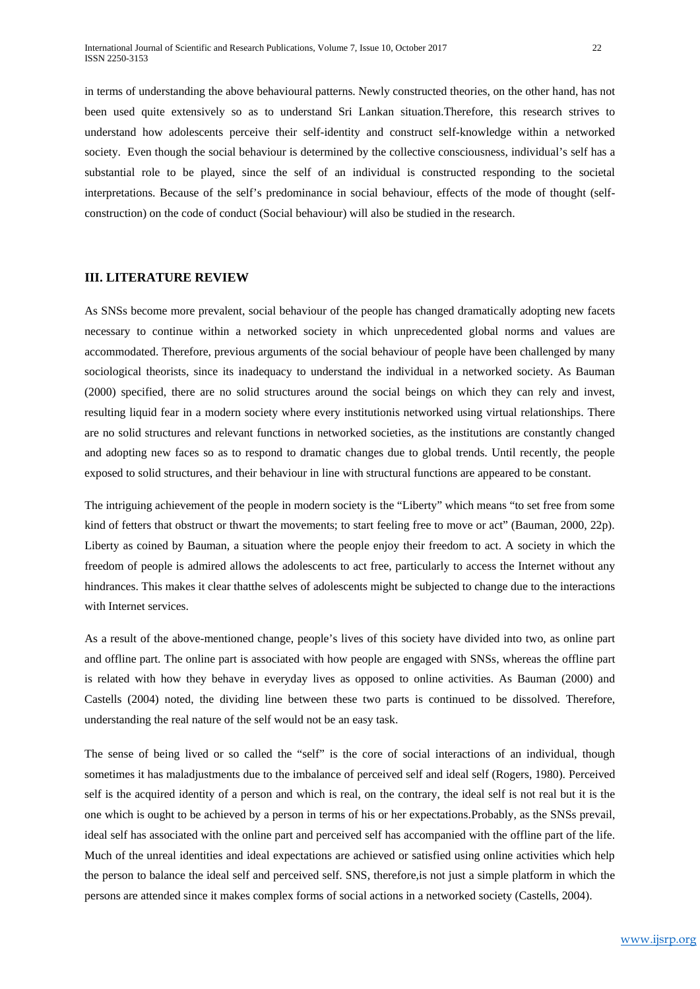in terms of understanding the above behavioural patterns. Newly constructed theories, on the other hand, has not been used quite extensively so as to understand Sri Lankan situation.Therefore, this research strives to understand how adolescents perceive their self-identity and construct self-knowledge within a networked society. Even though the social behaviour is determined by the collective consciousness, individual's self has a substantial role to be played, since the self of an individual is constructed responding to the societal interpretations. Because of the self's predominance in social behaviour, effects of the mode of thought (selfconstruction) on the code of conduct (Social behaviour) will also be studied in the research.

## **III. LITERATURE REVIEW**

As SNSs become more prevalent, social behaviour of the people has changed dramatically adopting new facets necessary to continue within a networked society in which unprecedented global norms and values are accommodated. Therefore, previous arguments of the social behaviour of people have been challenged by many sociological theorists, since its inadequacy to understand the individual in a networked society. As Bauman (2000) specified, there are no solid structures around the social beings on which they can rely and invest, resulting liquid fear in a modern society where every institutionis networked using virtual relationships. There are no solid structures and relevant functions in networked societies, as the institutions are constantly changed and adopting new faces so as to respond to dramatic changes due to global trends. Until recently, the people exposed to solid structures, and their behaviour in line with structural functions are appeared to be constant.

The intriguing achievement of the people in modern society is the "Liberty" which means "to set free from some kind of fetters that obstruct or thwart the movements; to start feeling free to move or act" (Bauman, 2000, 22p). Liberty as coined by Bauman, a situation where the people enjoy their freedom to act. A society in which the freedom of people is admired allows the adolescents to act free, particularly to access the Internet without any hindrances. This makes it clear thatthe selves of adolescents might be subjected to change due to the interactions with Internet services.

As a result of the above-mentioned change, people's lives of this society have divided into two, as online part and offline part. The online part is associated with how people are engaged with SNSs, whereas the offline part is related with how they behave in everyday lives as opposed to online activities. As Bauman (2000) and Castells (2004) noted, the dividing line between these two parts is continued to be dissolved. Therefore, understanding the real nature of the self would not be an easy task.

The sense of being lived or so called the "self" is the core of social interactions of an individual, though sometimes it has maladjustments due to the imbalance of perceived self and ideal self (Rogers, 1980). Perceived self is the acquired identity of a person and which is real, on the contrary, the ideal self is not real but it is the one which is ought to be achieved by a person in terms of his or her expectations.Probably, as the SNSs prevail, ideal self has associated with the online part and perceived self has accompanied with the offline part of the life. Much of the unreal identities and ideal expectations are achieved or satisfied using online activities which help the person to balance the ideal self and perceived self. SNS, therefore,is not just a simple platform in which the persons are attended since it makes complex forms of social actions in a networked society (Castells, 2004).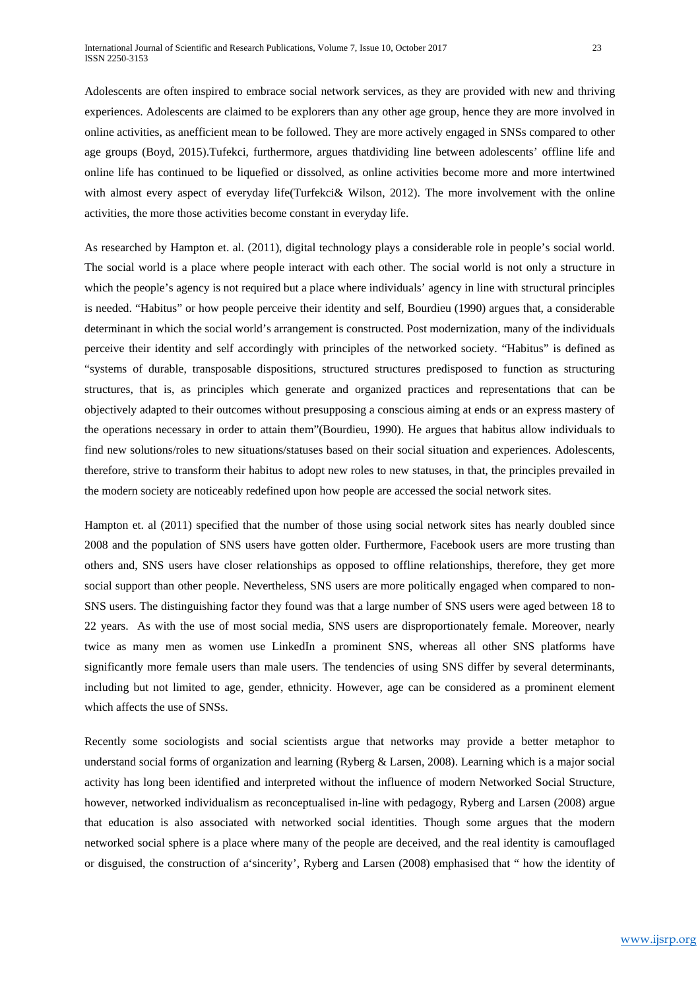Adolescents are often inspired to embrace social network services, as they are provided with new and thriving experiences. Adolescents are claimed to be explorers than any other age group, hence they are more involved in online activities, as anefficient mean to be followed. They are more actively engaged in SNSs compared to other age groups (Boyd, 2015).Tufekci, furthermore, argues thatdividing line between adolescents' offline life and online life has continued to be liquefied or dissolved, as online activities become more and more intertwined with almost every aspect of everyday life(Turfekci& Wilson, 2012). The more involvement with the online activities, the more those activities become constant in everyday life.

As researched by Hampton et. al. (2011), digital technology plays a considerable role in people's social world. The social world is a place where people interact with each other. The social world is not only a structure in which the people's agency is not required but a place where individuals' agency in line with structural principles is needed. "Habitus" or how people perceive their identity and self, Bourdieu (1990) argues that, a considerable determinant in which the social world's arrangement is constructed. Post modernization, many of the individuals perceive their identity and self accordingly with principles of the networked society. "Habitus" is defined as "systems of durable, transposable dispositions, structured structures predisposed to function as structuring structures, that is, as principles which generate and organized practices and representations that can be objectively adapted to their outcomes without presupposing a conscious aiming at ends or an express mastery of the operations necessary in order to attain them"(Bourdieu, 1990). He argues that habitus allow individuals to find new solutions/roles to new situations/statuses based on their social situation and experiences. Adolescents, therefore, strive to transform their habitus to adopt new roles to new statuses, in that, the principles prevailed in the modern society are noticeably redefined upon how people are accessed the social network sites.

Hampton et. al (2011) specified that the number of those using social network sites has nearly doubled since 2008 and the population of SNS users have gotten older. Furthermore, Facebook users are more trusting than others and, SNS users have closer relationships as opposed to offline relationships, therefore, they get more social support than other people. Nevertheless, SNS users are more politically engaged when compared to non-SNS users. The distinguishing factor they found was that a large number of SNS users were aged between 18 to 22 years. As with the use of most social media, SNS users are disproportionately female. Moreover, nearly twice as many men as women use LinkedIn a prominent SNS, whereas all other SNS platforms have significantly more female users than male users. The tendencies of using SNS differ by several determinants, including but not limited to age, gender, ethnicity. However, age can be considered as a prominent element which affects the use of SNSs.

Recently some sociologists and social scientists argue that networks may provide a better metaphor to understand social forms of organization and learning (Ryberg & Larsen, 2008). Learning which is a major social activity has long been identified and interpreted without the influence of modern Networked Social Structure, however, networked individualism as reconceptualised in-line with pedagogy, Ryberg and Larsen (2008) argue that education is also associated with networked social identities. Though some argues that the modern networked social sphere is a place where many of the people are deceived, and the real identity is camouflaged or disguised, the construction of a'sincerity', Ryberg and Larsen (2008) emphasised that " how the identity of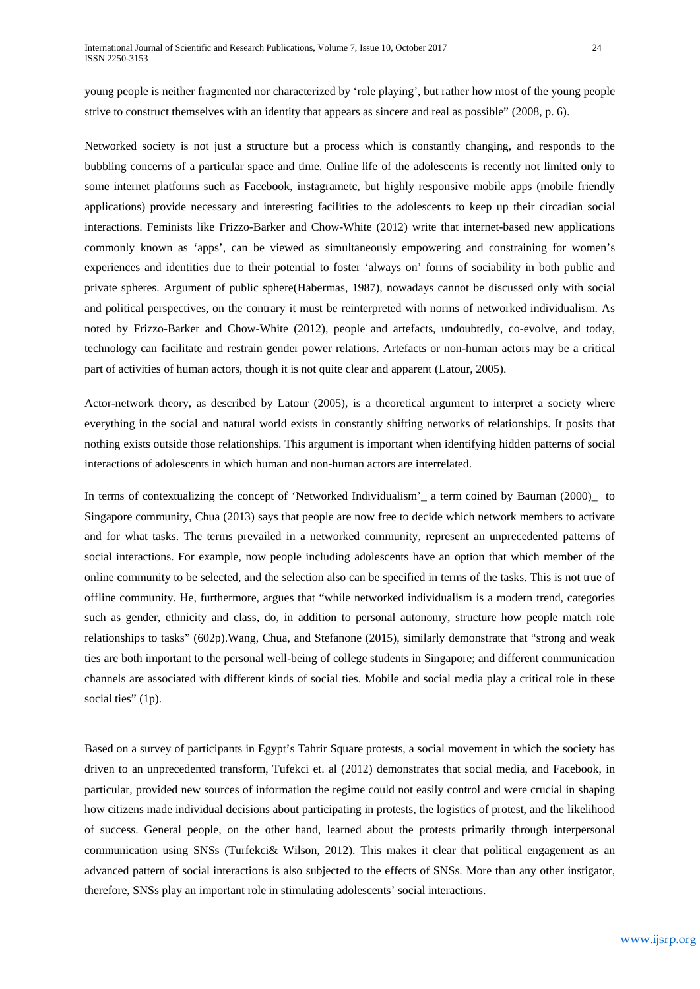young people is neither fragmented nor characterized by 'role playing', but rather how most of the young people strive to construct themselves with an identity that appears as sincere and real as possible" (2008, p. 6).

Networked society is not just a structure but a process which is constantly changing, and responds to the bubbling concerns of a particular space and time. Online life of the adolescents is recently not limited only to some internet platforms such as Facebook, instagrametc, but highly responsive mobile apps (mobile friendly applications) provide necessary and interesting facilities to the adolescents to keep up their circadian social interactions. Feminists like Frizzo-Barker and Chow-White (2012) write that internet-based new applications commonly known as 'apps', can be viewed as simultaneously empowering and constraining for women's experiences and identities due to their potential to foster 'always on' forms of sociability in both public and private spheres. Argument of public sphere(Habermas, 1987), nowadays cannot be discussed only with social and political perspectives, on the contrary it must be reinterpreted with norms of networked individualism. As noted by Frizzo-Barker and Chow-White (2012), people and artefacts, undoubtedly, co-evolve, and today, technology can facilitate and restrain gender power relations. Artefacts or non-human actors may be a critical part of activities of human actors, though it is not quite clear and apparent (Latour, 2005).

Actor-network theory, as described by Latour (2005), is a theoretical argument to interpret a society where everything in the social and natural world exists in constantly shifting networks of relationships. It posits that nothing exists outside those relationships. This argument is important when identifying hidden patterns of social interactions of adolescents in which human and non-human actors are interrelated.

In terms of contextualizing the concept of 'Networked Individualism' a term coined by Bauman (2000) to Singapore community, Chua (2013) says that people are now free to decide which network members to activate and for what tasks. The terms prevailed in a networked community, represent an unprecedented patterns of social interactions. For example, now people including adolescents have an option that which member of the online community to be selected, and the selection also can be specified in terms of the tasks. This is not true of offline community. He, furthermore, argues that "while networked individualism is a modern trend, categories such as gender, ethnicity and class, do, in addition to personal autonomy, structure how people match role relationships to tasks" (602p).Wang, Chua, and Stefanone (2015), similarly demonstrate that "strong and weak ties are both important to the personal well-being of college students in Singapore; and different communication channels are associated with different kinds of social ties. Mobile and social media play a critical role in these social ties" (1p).

Based on a survey of participants in Egypt's Tahrir Square protests, a social movement in which the society has driven to an unprecedented transform, Tufekci et. al (2012) demonstrates that social media, and Facebook, in particular, provided new sources of information the regime could not easily control and were crucial in shaping how citizens made individual decisions about participating in protests, the logistics of protest, and the likelihood of success. General people, on the other hand, learned about the protests primarily through interpersonal communication using SNSs (Turfekci& Wilson, 2012). This makes it clear that political engagement as an advanced pattern of social interactions is also subjected to the effects of SNSs. More than any other instigator, therefore, SNSs play an important role in stimulating adolescents' social interactions.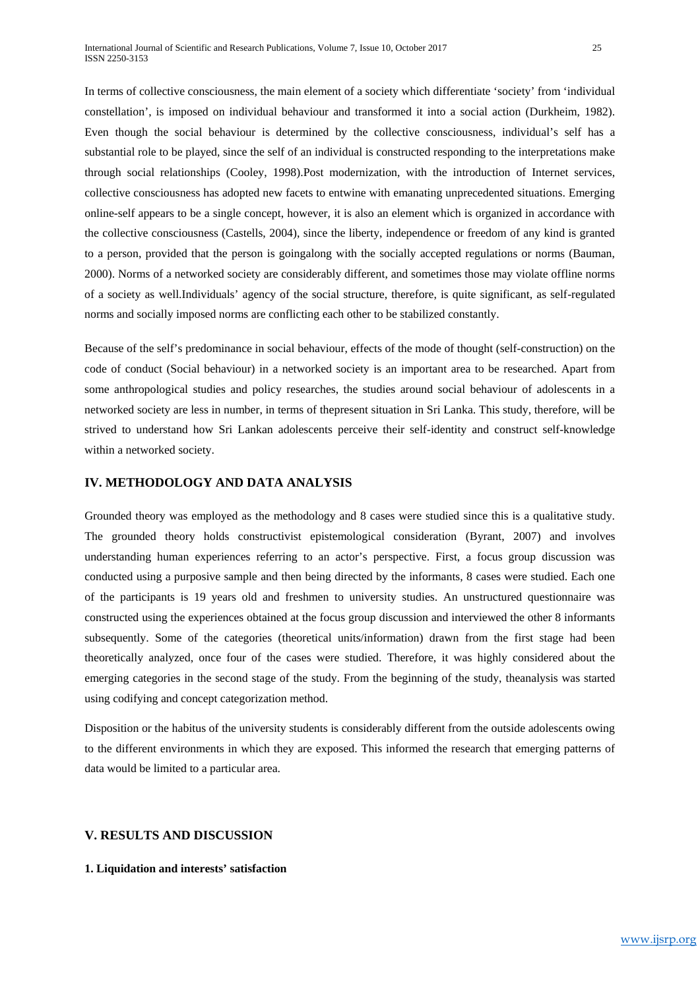In terms of collective consciousness, the main element of a society which differentiate 'society' from 'individual constellation', is imposed on individual behaviour and transformed it into a social action (Durkheim, 1982). Even though the social behaviour is determined by the collective consciousness, individual's self has a substantial role to be played, since the self of an individual is constructed responding to the interpretations make through social relationships (Cooley, 1998).Post modernization, with the introduction of Internet services, collective consciousness has adopted new facets to entwine with emanating unprecedented situations. Emerging online-self appears to be a single concept, however, it is also an element which is organized in accordance with the collective consciousness (Castells, 2004), since the liberty, independence or freedom of any kind is granted to a person, provided that the person is goingalong with the socially accepted regulations or norms (Bauman, 2000). Norms of a networked society are considerably different, and sometimes those may violate offline norms of a society as well.Individuals' agency of the social structure, therefore, is quite significant, as self-regulated norms and socially imposed norms are conflicting each other to be stabilized constantly.

Because of the self's predominance in social behaviour, effects of the mode of thought (self-construction) on the code of conduct (Social behaviour) in a networked society is an important area to be researched. Apart from some anthropological studies and policy researches, the studies around social behaviour of adolescents in a networked society are less in number, in terms of thepresent situation in Sri Lanka. This study, therefore, will be strived to understand how Sri Lankan adolescents perceive their self-identity and construct self-knowledge within a networked society.

# **IV. METHODOLOGY AND DATA ANALYSIS**

Grounded theory was employed as the methodology and 8 cases were studied since this is a qualitative study. The grounded theory holds constructivist epistemological consideration (Byrant, 2007) and involves understanding human experiences referring to an actor's perspective. First, a focus group discussion was conducted using a purposive sample and then being directed by the informants, 8 cases were studied. Each one of the participants is 19 years old and freshmen to university studies. An unstructured questionnaire was constructed using the experiences obtained at the focus group discussion and interviewed the other 8 informants subsequently. Some of the categories (theoretical units/information) drawn from the first stage had been theoretically analyzed, once four of the cases were studied. Therefore, it was highly considered about the emerging categories in the second stage of the study. From the beginning of the study, theanalysis was started using codifying and concept categorization method.

Disposition or the habitus of the university students is considerably different from the outside adolescents owing to the different environments in which they are exposed. This informed the research that emerging patterns of data would be limited to a particular area.

## **V. RESULTS AND DISCUSSION**

### **1. Liquidation and interests' satisfaction**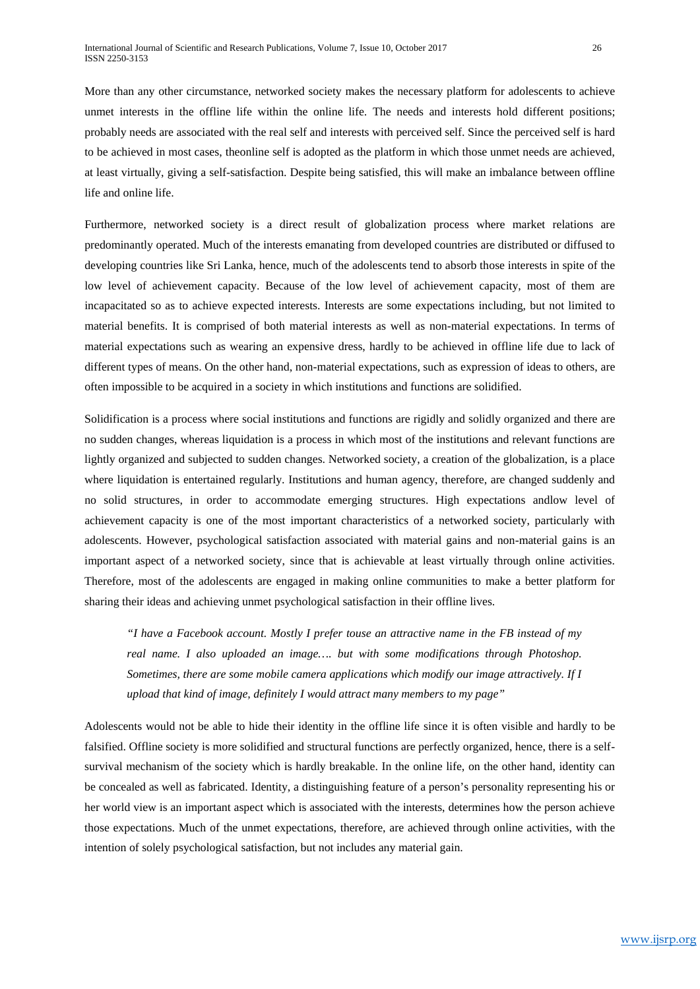More than any other circumstance, networked society makes the necessary platform for adolescents to achieve unmet interests in the offline life within the online life. The needs and interests hold different positions; probably needs are associated with the real self and interests with perceived self. Since the perceived self is hard to be achieved in most cases, theonline self is adopted as the platform in which those unmet needs are achieved, at least virtually, giving a self-satisfaction. Despite being satisfied, this will make an imbalance between offline life and online life.

Furthermore, networked society is a direct result of globalization process where market relations are predominantly operated. Much of the interests emanating from developed countries are distributed or diffused to developing countries like Sri Lanka, hence, much of the adolescents tend to absorb those interests in spite of the low level of achievement capacity. Because of the low level of achievement capacity, most of them are incapacitated so as to achieve expected interests. Interests are some expectations including, but not limited to material benefits. It is comprised of both material interests as well as non-material expectations. In terms of material expectations such as wearing an expensive dress, hardly to be achieved in offline life due to lack of different types of means. On the other hand, non-material expectations, such as expression of ideas to others, are often impossible to be acquired in a society in which institutions and functions are solidified.

Solidification is a process where social institutions and functions are rigidly and solidly organized and there are no sudden changes, whereas liquidation is a process in which most of the institutions and relevant functions are lightly organized and subjected to sudden changes. Networked society, a creation of the globalization, is a place where liquidation is entertained regularly. Institutions and human agency, therefore, are changed suddenly and no solid structures, in order to accommodate emerging structures. High expectations andlow level of achievement capacity is one of the most important characteristics of a networked society, particularly with adolescents. However, psychological satisfaction associated with material gains and non-material gains is an important aspect of a networked society, since that is achievable at least virtually through online activities. Therefore, most of the adolescents are engaged in making online communities to make a better platform for sharing their ideas and achieving unmet psychological satisfaction in their offline lives.

*"I have a Facebook account. Mostly I prefer touse an attractive name in the FB instead of my real name. I also uploaded an image…. but with some modifications through Photoshop. Sometimes, there are some mobile camera applications which modify our image attractively. If I upload that kind of image, definitely I would attract many members to my page"*

Adolescents would not be able to hide their identity in the offline life since it is often visible and hardly to be falsified. Offline society is more solidified and structural functions are perfectly organized, hence, there is a selfsurvival mechanism of the society which is hardly breakable. In the online life, on the other hand, identity can be concealed as well as fabricated. Identity, a distinguishing feature of a person's personality representing his or her world view is an important aspect which is associated with the interests, determines how the person achieve those expectations. Much of the unmet expectations, therefore, are achieved through online activities, with the intention of solely psychological satisfaction, but not includes any material gain.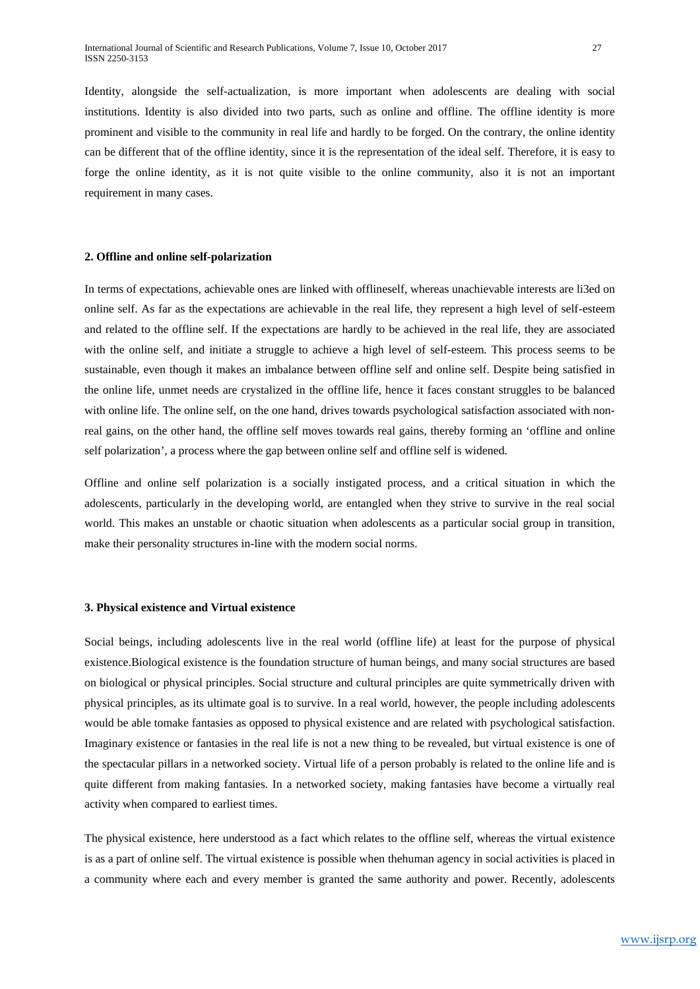Identity, alongside the self-actualization, is more important when adolescents are dealing with social institutions. Identity is also divided into two parts, such as online and offline. The offline identity is more prominent and visible to the community in real life and hardly to be forged. On the contrary, the online identity can be different that of the offline identity, since it is the representation of the ideal self. Therefore, it is easy to forge the online identity, as it is not quite visible to the online community, also it is not an important requirement in many cases.

### **2. Offline and online self-polarization**

In terms of expectations, achievable ones are linked with offlineself, whereas unachievable interests are li3ed on online self. As far as the expectations are achievable in the real life, they represent a high level of self-esteem and related to the offline self. If the expectations are hardly to be achieved in the real life, they are associated with the online self, and initiate a struggle to achieve a high level of self-esteem. This process seems to be sustainable, even though it makes an imbalance between offline self and online self. Despite being satisfied in the online life, unmet needs are crystalized in the offline life, hence it faces constant struggles to be balanced with online life. The online self, on the one hand, drives towards psychological satisfaction associated with nonreal gains, on the other hand, the offline self moves towards real gains, thereby forming an 'offline and online self polarization', a process where the gap between online self and offline self is widened.

Offline and online self polarization is a socially instigated process, and a critical situation in which the adolescents, particularly in the developing world, are entangled when they strive to survive in the real social world. This makes an unstable or chaotic situation when adolescents as a particular social group in transition, make their personality structures in-line with the modern social norms.

#### **3. Physical existence and Virtual existence**

Social beings, including adolescents live in the real world (offline life) at least for the purpose of physical existence.Biological existence is the foundation structure of human beings, and many social structures are based on biological or physical principles. Social structure and cultural principles are quite symmetrically driven with physical principles, as its ultimate goal is to survive. In a real world, however, the people including adolescents would be able tomake fantasies as opposed to physical existence and are related with psychological satisfaction. Imaginary existence or fantasies in the real life is not a new thing to be revealed, but virtual existence is one of the spectacular pillars in a networked society. Virtual life of a person probably is related to the online life and is quite different from making fantasies. In a networked society, making fantasies have become a virtually real activity when compared to earliest times.

The physical existence, here understood as a fact which relates to the offline self, whereas the virtual existence is as a part of online self. The virtual existence is possible when thehuman agency in social activities is placed in a community where each and every member is granted the same authority and power. Recently, adolescents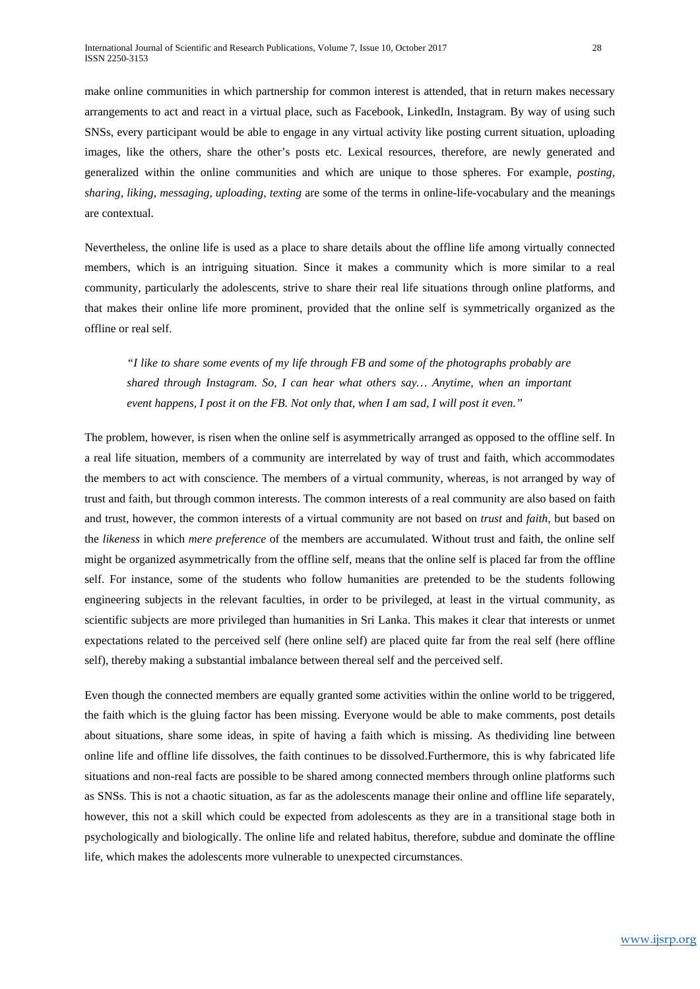make online communities in which partnership for common interest is attended, that in return makes necessary arrangements to act and react in a virtual place, such as Facebook, LinkedIn, Instagram. By way of using such SNSs, every participant would be able to engage in any virtual activity like posting current situation, uploading images, like the others, share the other's posts etc. Lexical resources, therefore, are newly generated and generalized within the online communities and which are unique to those spheres. For example, *posting, sharing, liking, messaging, uploading, texting* are some of the terms in online-life-vocabulary and the meanings are contextual.

Nevertheless, the online life is used as a place to share details about the offline life among virtually connected members, which is an intriguing situation. Since it makes a community which is more similar to a real community, particularly the adolescents, strive to share their real life situations through online platforms, and that makes their online life more prominent, provided that the online self is symmetrically organized as the offline or real self.

*"I like to share some events of my life through FB and some of the photographs probably are shared through Instagram. So, I can hear what others say… Anytime, when an important event happens, I post it on the FB. Not only that, when I am sad, I will post it even."*

The problem, however, is risen when the online self is asymmetrically arranged as opposed to the offline self. In a real life situation, members of a community are interrelated by way of trust and faith, which accommodates the members to act with conscience. The members of a virtual community, whereas, is not arranged by way of trust and faith, but through common interests. The common interests of a real community are also based on faith and trust, however, the common interests of a virtual community are not based on *trust* and *faith*, but based on the *likeness* in which *mere preference* of the members are accumulated. Without trust and faith, the online self might be organized asymmetrically from the offline self, means that the online self is placed far from the offline self. For instance, some of the students who follow humanities are pretended to be the students following engineering subjects in the relevant faculties, in order to be privileged, at least in the virtual community, as scientific subjects are more privileged than humanities in Sri Lanka. This makes it clear that interests or unmet expectations related to the perceived self (here online self) are placed quite far from the real self (here offline self), thereby making a substantial imbalance between thereal self and the perceived self.

Even though the connected members are equally granted some activities within the online world to be triggered, the faith which is the gluing factor has been missing. Everyone would be able to make comments, post details about situations, share some ideas, in spite of having a faith which is missing. As thedividing line between online life and offline life dissolves, the faith continues to be dissolved.Furthermore, this is why fabricated life situations and non-real facts are possible to be shared among connected members through online platforms such as SNSs. This is not a chaotic situation, as far as the adolescents manage their online and offline life separately, however, this not a skill which could be expected from adolescents as they are in a transitional stage both in psychologically and biologically. The online life and related habitus, therefore, subdue and dominate the offline life, which makes the adolescents more vulnerable to unexpected circumstances.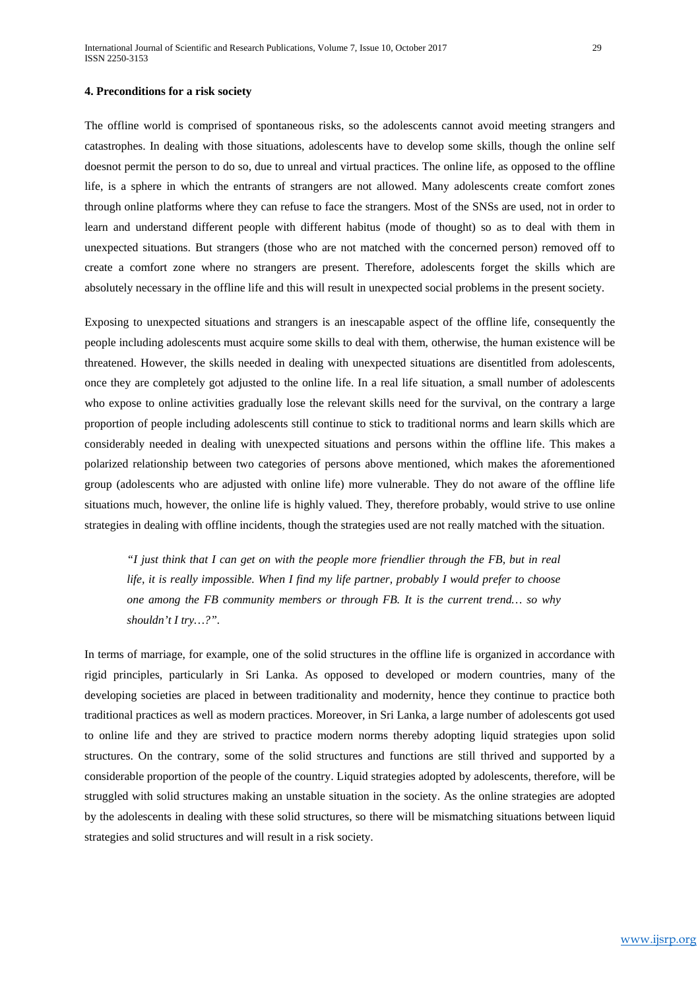The offline world is comprised of spontaneous risks, so the adolescents cannot avoid meeting strangers and catastrophes. In dealing with those situations, adolescents have to develop some skills, though the online self doesnot permit the person to do so, due to unreal and virtual practices. The online life, as opposed to the offline life, is a sphere in which the entrants of strangers are not allowed. Many adolescents create comfort zones through online platforms where they can refuse to face the strangers. Most of the SNSs are used, not in order to learn and understand different people with different habitus (mode of thought) so as to deal with them in unexpected situations. But strangers (those who are not matched with the concerned person) removed off to create a comfort zone where no strangers are present. Therefore, adolescents forget the skills which are absolutely necessary in the offline life and this will result in unexpected social problems in the present society.

Exposing to unexpected situations and strangers is an inescapable aspect of the offline life, consequently the people including adolescents must acquire some skills to deal with them, otherwise, the human existence will be threatened. However, the skills needed in dealing with unexpected situations are disentitled from adolescents, once they are completely got adjusted to the online life. In a real life situation, a small number of adolescents who expose to online activities gradually lose the relevant skills need for the survival, on the contrary a large proportion of people including adolescents still continue to stick to traditional norms and learn skills which are considerably needed in dealing with unexpected situations and persons within the offline life. This makes a polarized relationship between two categories of persons above mentioned, which makes the aforementioned group (adolescents who are adjusted with online life) more vulnerable. They do not aware of the offline life situations much, however, the online life is highly valued. They, therefore probably, would strive to use online strategies in dealing with offline incidents, though the strategies used are not really matched with the situation.

*"I just think that I can get on with the people more friendlier through the FB, but in real life, it is really impossible. When I find my life partner, probably I would prefer to choose one among the FB community members or through FB. It is the current trend… so why shouldn't I try…?".*

In terms of marriage, for example, one of the solid structures in the offline life is organized in accordance with rigid principles, particularly in Sri Lanka. As opposed to developed or modern countries, many of the developing societies are placed in between traditionality and modernity, hence they continue to practice both traditional practices as well as modern practices. Moreover, in Sri Lanka, a large number of adolescents got used to online life and they are strived to practice modern norms thereby adopting liquid strategies upon solid structures. On the contrary, some of the solid structures and functions are still thrived and supported by a considerable proportion of the people of the country. Liquid strategies adopted by adolescents, therefore, will be struggled with solid structures making an unstable situation in the society. As the online strategies are adopted by the adolescents in dealing with these solid structures, so there will be mismatching situations between liquid strategies and solid structures and will result in a risk society.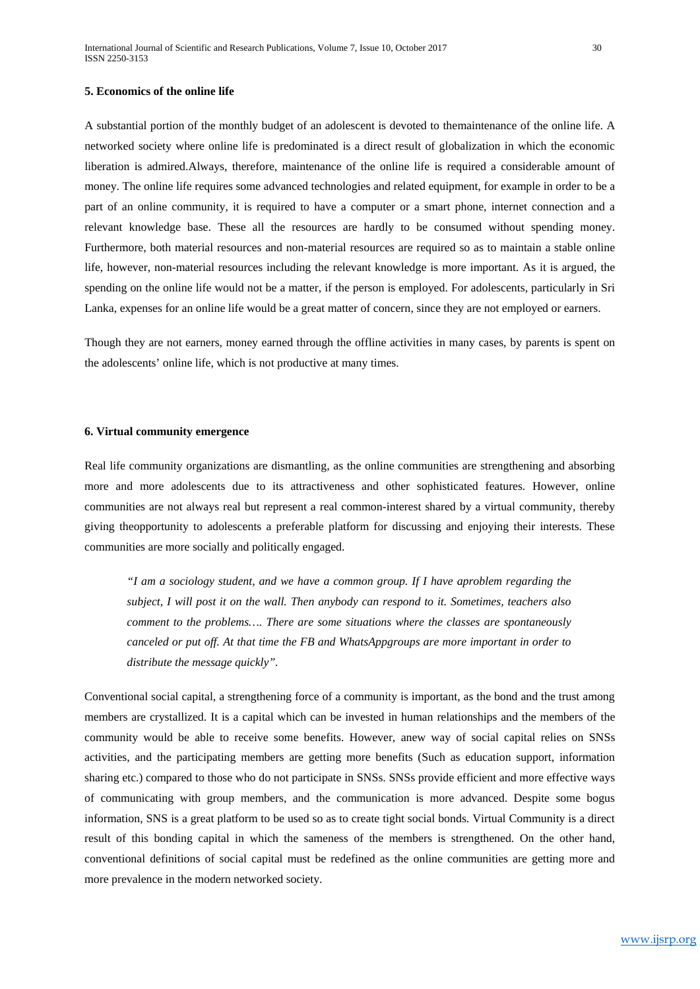A substantial portion of the monthly budget of an adolescent is devoted to themaintenance of the online life. A networked society where online life is predominated is a direct result of globalization in which the economic liberation is admired.Always, therefore, maintenance of the online life is required a considerable amount of money. The online life requires some advanced technologies and related equipment, for example in order to be a part of an online community, it is required to have a computer or a smart phone, internet connection and a relevant knowledge base. These all the resources are hardly to be consumed without spending money. Furthermore, both material resources and non-material resources are required so as to maintain a stable online life, however, non-material resources including the relevant knowledge is more important. As it is argued, the spending on the online life would not be a matter, if the person is employed. For adolescents, particularly in Sri Lanka, expenses for an online life would be a great matter of concern, since they are not employed or earners.

Though they are not earners, money earned through the offline activities in many cases, by parents is spent on the adolescents' online life, which is not productive at many times.

#### **6. Virtual community emergence**

Real life community organizations are dismantling, as the online communities are strengthening and absorbing more and more adolescents due to its attractiveness and other sophisticated features. However, online communities are not always real but represent a real common-interest shared by a virtual community, thereby giving theopportunity to adolescents a preferable platform for discussing and enjoying their interests. These communities are more socially and politically engaged.

*"I am a sociology student, and we have a common group. If I have aproblem regarding the subject, I will post it on the wall. Then anybody can respond to it. Sometimes, teachers also comment to the problems…. There are some situations where the classes are spontaneously canceled or put off. At that time the FB and WhatsAppgroups are more important in order to distribute the message quickly".* 

Conventional social capital, a strengthening force of a community is important, as the bond and the trust among members are crystallized. It is a capital which can be invested in human relationships and the members of the community would be able to receive some benefits. However, anew way of social capital relies on SNSs activities, and the participating members are getting more benefits (Such as education support, information sharing etc.) compared to those who do not participate in SNSs. SNSs provide efficient and more effective ways of communicating with group members, and the communication is more advanced. Despite some bogus information, SNS is a great platform to be used so as to create tight social bonds. Virtual Community is a direct result of this bonding capital in which the sameness of the members is strengthened. On the other hand, conventional definitions of social capital must be redefined as the online communities are getting more and more prevalence in the modern networked society.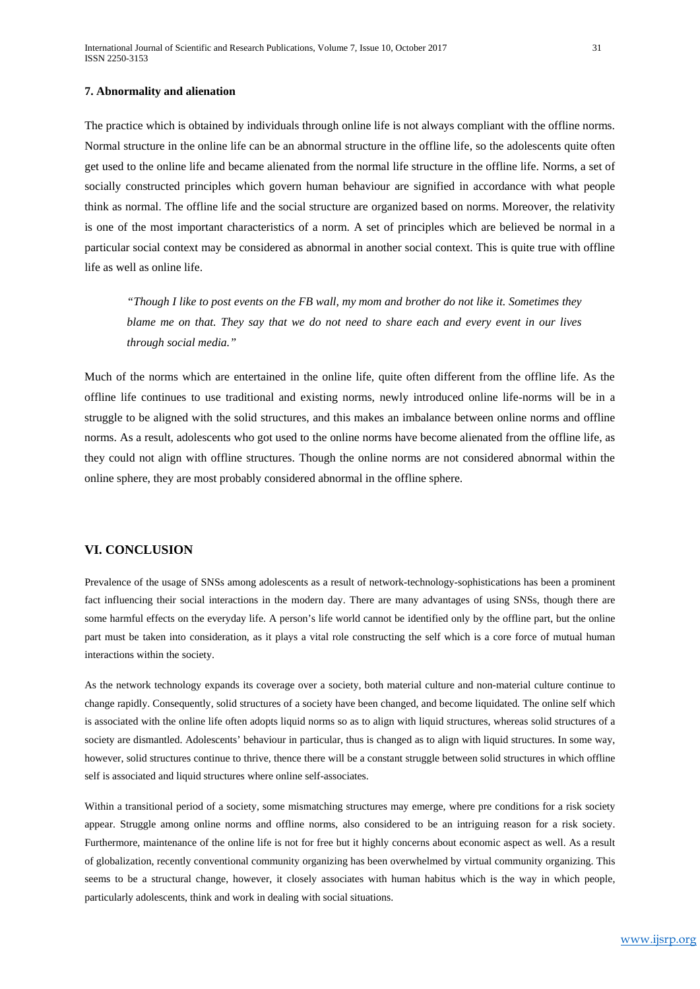#### **7. Abnormality and alienation**

The practice which is obtained by individuals through online life is not always compliant with the offline norms. Normal structure in the online life can be an abnormal structure in the offline life, so the adolescents quite often get used to the online life and became alienated from the normal life structure in the offline life. Norms, a set of socially constructed principles which govern human behaviour are signified in accordance with what people think as normal. The offline life and the social structure are organized based on norms. Moreover, the relativity is one of the most important characteristics of a norm. A set of principles which are believed be normal in a particular social context may be considered as abnormal in another social context. This is quite true with offline life as well as online life.

*"Though I like to post events on the FB wall, my mom and brother do not like it. Sometimes they blame me on that. They say that we do not need to share each and every event in our lives through social media."*

Much of the norms which are entertained in the online life, quite often different from the offline life. As the offline life continues to use traditional and existing norms, newly introduced online life-norms will be in a struggle to be aligned with the solid structures, and this makes an imbalance between online norms and offline norms. As a result, adolescents who got used to the online norms have become alienated from the offline life, as they could not align with offline structures. Though the online norms are not considered abnormal within the online sphere, they are most probably considered abnormal in the offline sphere.

## **VI. CONCLUSION**

Prevalence of the usage of SNSs among adolescents as a result of network-technology-sophistications has been a prominent fact influencing their social interactions in the modern day. There are many advantages of using SNSs, though there are some harmful effects on the everyday life. A person's life world cannot be identified only by the offline part, but the online part must be taken into consideration, as it plays a vital role constructing the self which is a core force of mutual human interactions within the society.

As the network technology expands its coverage over a society, both material culture and non-material culture continue to change rapidly. Consequently, solid structures of a society have been changed, and become liquidated. The online self which is associated with the online life often adopts liquid norms so as to align with liquid structures, whereas solid structures of a society are dismantled. Adolescents' behaviour in particular, thus is changed as to align with liquid structures. In some way, however, solid structures continue to thrive, thence there will be a constant struggle between solid structures in which offline self is associated and liquid structures where online self-associates.

Within a transitional period of a society, some mismatching structures may emerge, where pre conditions for a risk society appear. Struggle among online norms and offline norms, also considered to be an intriguing reason for a risk society. Furthermore, maintenance of the online life is not for free but it highly concerns about economic aspect as well. As a result of globalization, recently conventional community organizing has been overwhelmed by virtual community organizing. This seems to be a structural change, however, it closely associates with human habitus which is the way in which people, particularly adolescents, think and work in dealing with social situations.